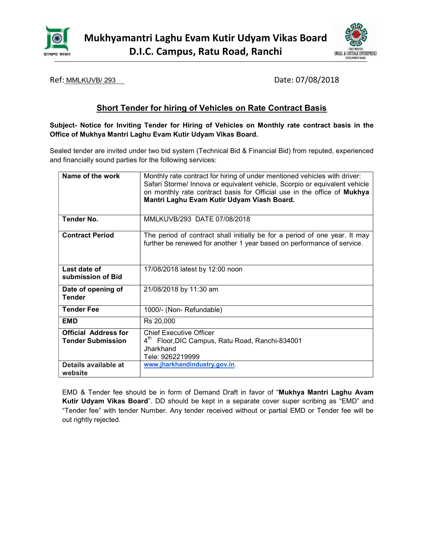



Ref: <u>MMLKUVB/293</u> 2008 2009 2018 2020 2021 2021 2022 203

# Short Tender for hiring of Vehicles on Rate Contract Basis

Subject- Notice for Inviting Tender for Hiring of Vehicles on Monthly rate contract basis in the Office of Mukhya Mantri Laghu Evam Kutir Udyam Vikas Board.

Sealed tender are invited under two bid system (Technical Bid & Financial Bid) from reputed, experienced and financially sound parties for the following services:

| Name of the work                                        | Monthly rate contract for hiring of under mentioned vehicles with driver:<br>Safari Storme/ Innova or equivalent vehicle, Scorpio or equivalent vehicle<br>on monthly rate contract basis for Official use in the office of Mukhya<br>Mantri Laghu Evam Kutir Udyam Viash Board. |  |  |
|---------------------------------------------------------|----------------------------------------------------------------------------------------------------------------------------------------------------------------------------------------------------------------------------------------------------------------------------------|--|--|
| Tender No.                                              | MMLKUVB/293 DATE 07/08/2018                                                                                                                                                                                                                                                      |  |  |
| <b>Contract Period</b>                                  | The period of contract shall initially be for a period of one year. It may<br>further be renewed for another 1 year based on performance of service.                                                                                                                             |  |  |
| Last date of<br>submission of Bid                       | 17/08/2018 latest by 12:00 noon                                                                                                                                                                                                                                                  |  |  |
| Date of opening of<br><b>Tender</b>                     | 21/08/2018 by 11:30 am                                                                                                                                                                                                                                                           |  |  |
| <b>Tender Fee</b>                                       | 1000/- (Non- Refundable)                                                                                                                                                                                                                                                         |  |  |
| <b>EMD</b>                                              | Rs 20,000                                                                                                                                                                                                                                                                        |  |  |
| <b>Official Address for</b><br><b>Tender Submission</b> | <b>Chief Executive Officer</b><br>4 <sup>th</sup> Floor, DIC Campus, Ratu Road, Ranchi-834001<br>Jharkhand<br>Tele: 9262219999                                                                                                                                                   |  |  |
| Details available at<br>website                         | www.jharkhandindustry.gov.in.                                                                                                                                                                                                                                                    |  |  |

EMD & Tender fee should be in form of Demand Draft in favor of "Mukhya Mantri Laghu Avam Kutir Udyam Vikas Board". DD should be kept in a separate cover super scribing as "EMD" and "Tender fee" with tender Number. Any tender received without or partial EMD or Tender fee will be out rightly rejected.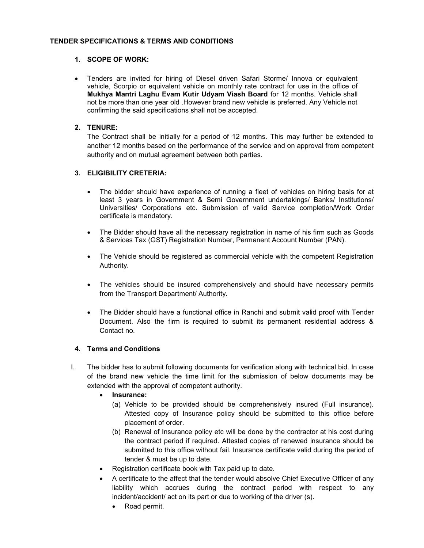#### TENDER SPECIFICATIONS & TERMS AND CONDITIONS

#### 1. SCOPE OF WORK:

 Tenders are invited for hiring of Diesel driven Safari Storme/ Innova or equivalent vehicle, Scorpio or equivalent vehicle on monthly rate contract for use in the office of Mukhya Mantri Laghu Evam Kutir Udyam Viash Board for 12 months. Vehicle shall not be more than one year old .However brand new vehicle is preferred. Any Vehicle not confirming the said specifications shall not be accepted.

#### 2. TENURE:

The Contract shall be initially for a period of 12 months. This may further be extended to another 12 months based on the performance of the service and on approval from competent authority and on mutual agreement between both parties.

#### 3. ELIGIBILITY CRETERIA:

- The bidder should have experience of running a fleet of vehicles on hiring basis for at least 3 years in Government & Semi Government undertakings/ Banks/ Institutions/ Universities/ Corporations etc. Submission of valid Service completion/Work Order certificate is mandatory.
- The Bidder should have all the necessary registration in name of his firm such as Goods & Services Tax (GST) Registration Number, Permanent Account Number (PAN).
- The Vehicle should be registered as commercial vehicle with the competent Registration Authority.
- The vehicles should be insured comprehensively and should have necessary permits from the Transport Department/ Authority.
- The Bidder should have a functional office in Ranchi and submit valid proof with Tender Document. Also the firm is required to submit its permanent residential address & Contact no.

#### 4. Terms and Conditions

- I. The bidder has to submit following documents for verification along with technical bid. In case of the brand new vehicle the time limit for the submission of below documents may be extended with the approval of competent authority.
	- Insurance:
		- (a) Vehicle to be provided should be comprehensively insured (Full insurance). Attested copy of Insurance policy should be submitted to this office before placement of order.
		- (b) Renewal of Insurance policy etc will be done by the contractor at his cost during the contract period if required. Attested copies of renewed insurance should be submitted to this office without fail. Insurance certificate valid during the period of tender & must be up to date.
	- Registration certificate book with Tax paid up to date.
	- A certificate to the affect that the tender would absolve Chief Executive Officer of any liability which accrues during the contract period with respect to any incident/accident/ act on its part or due to working of the driver (s).
		- Road permit.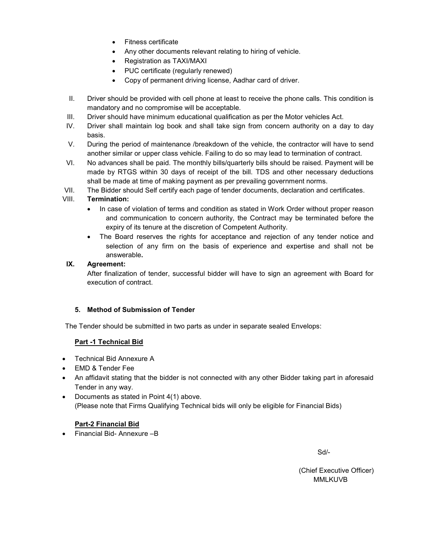- Fitness certificate
- Any other documents relevant relating to hiring of vehicle.
- Registration as TAXI/MAXI
- PUC certificate (regularly renewed)
- Copy of permanent driving license, Aadhar card of driver.
- II. Driver should be provided with cell phone at least to receive the phone calls. This condition is mandatory and no compromise will be acceptable.
- III. Driver should have minimum educational qualification as per the Motor vehicles Act.
- IV. Driver shall maintain log book and shall take sign from concern authority on a day to day basis.
- V. During the period of maintenance /breakdown of the vehicle, the contractor will have to send another similar or upper class vehicle. Failing to do so may lead to termination of contract.
- VI. No advances shall be paid. The monthly bills/quarterly bills should be raised. Payment will be made by RTGS within 30 days of receipt of the bill. TDS and other necessary deductions shall be made at time of making payment as per prevailing government norms.
- VII. The Bidder should Self certify each page of tender documents, declaration and certificates.

### VIII. Termination:

- In case of violation of terms and condition as stated in Work Order without proper reason and communication to concern authority, the Contract may be terminated before the expiry of its tenure at the discretion of Competent Authority.
- The Board reserves the rights for acceptance and rejection of any tender notice and selection of any firm on the basis of experience and expertise and shall not be answerable.

### IX. Agreement:

After finalization of tender, successful bidder will have to sign an agreement with Board for execution of contract.

### 5. Method of Submission of Tender

The Tender should be submitted in two parts as under in separate sealed Envelops:

### Part -1 Technical Bid

- Technical Bid Annexure A
- EMD & Tender Fee
- An affidavit stating that the bidder is not connected with any other Bidder taking part in aforesaid Tender in any way.
- Documents as stated in Point 4(1) above. (Please note that Firms Qualifying Technical bids will only be eligible for Financial Bids)

### Part-2 Financial Bid

Financial Bid- Annexure –B

Sd/-

(Chief Executive Officer) MMLKUVB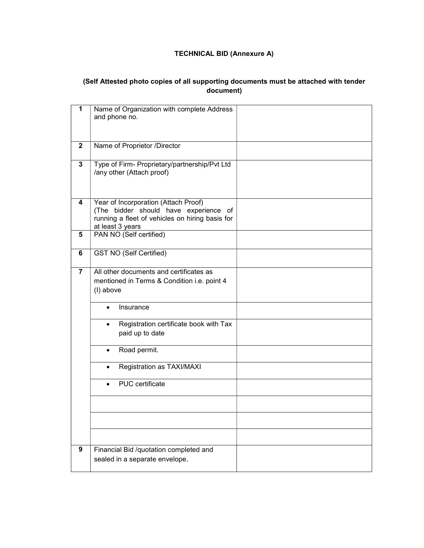## TECHNICAL BID (Annexure A)

# (Self Attested photo copies of all supporting documents must be attached with tender document)

| 1              | Name of Organization with complete Address          |
|----------------|-----------------------------------------------------|
|                | and phone no.                                       |
|                |                                                     |
|                |                                                     |
| $\mathbf{2}$   | Name of Proprietor /Director                        |
|                |                                                     |
| 3              | Type of Firm- Proprietary/partnership/Pvt Ltd       |
|                | /any other (Attach proof)                           |
|                |                                                     |
|                |                                                     |
|                |                                                     |
| 4              | Year of Incorporation (Attach Proof)                |
|                | (The bidder should have experience of               |
|                | running a fleet of vehicles on hiring basis for     |
|                | at least 3 years                                    |
| 5              | PAN NO (Self certified)                             |
|                |                                                     |
| 6              | <b>GST NO (Self Certified)</b>                      |
|                |                                                     |
| $\overline{7}$ | All other documents and certificates as             |
|                | mentioned in Terms & Condition i.e. point 4         |
|                | (I) above                                           |
|                |                                                     |
|                | Insurance<br>$\bullet$                              |
|                |                                                     |
|                | Registration certificate book with Tax<br>$\bullet$ |
|                | paid up to date                                     |
|                |                                                     |
|                | Road permit.                                        |
|                | Registration as TAXI/MAXI                           |
|                |                                                     |
|                | PUC certificate                                     |
|                |                                                     |
|                |                                                     |
|                |                                                     |
|                |                                                     |
|                |                                                     |
|                |                                                     |
| 9              | Financial Bid /quotation completed and              |
|                | sealed in a separate envelope.                      |
|                |                                                     |